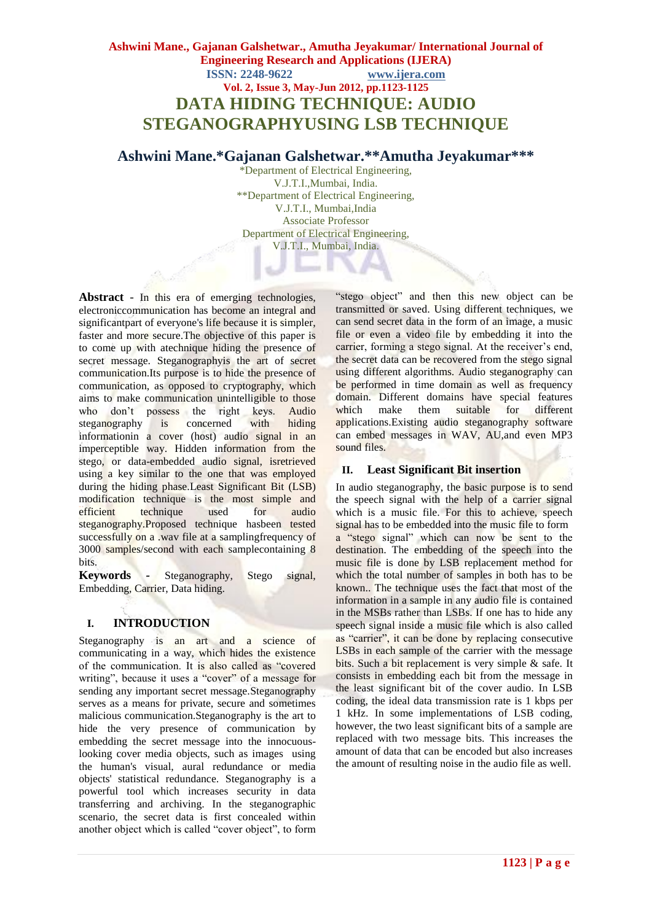# **Ashwini Mane., Gajanan Galshetwar., Amutha Jeyakumar/ International Journal of Engineering Research and Applications (IJERA) ISSN: 2248-9622 www.ijera.com Vol. 2, Issue 3, May-Jun 2012, pp.1123-1125 DATA HIDING TECHNIQUE: AUDIO STEGANOGRAPHYUSING LSB TECHNIQUE**

## **Ashwini Mane.\*Gajanan Galshetwar.\*\*Amutha Jeyakumar\*\*\***

\*Department of Electrical Engineering, V.J.T.I.,Mumbai, India. \*\*Department of Electrical Engineering, V.J.T.I., Mumbai,India Associate Professor Department of Electrical Engineering, V.J.T.I., Mumbai, India.

Abstract - In this era of emerging technologies. electroniccommunication has become an integral and significantpart of everyone's life because it is simpler, faster and more secure.The objective of this paper is to come up with atechnique hiding the presence of secret message. Steganographyis the art of secret communication.Its purpose is to hide the presence of communication, as opposed to cryptography, which aims to make communication unintelligible to those who don't possess the right keys. Audio steganography is concerned with hiding informationin a cover (host) audio signal in an imperceptible way. Hidden information from the stego, or data-embedded audio signal, isretrieved using a key similar to the one that was employed during the hiding phase.Least Significant Bit (LSB) modification technique is the most simple and efficient technique used for audio steganography.Proposed technique hasbeen tested successfully on a .wav file at a samplingfrequency of 3000 samples/second with each samplecontaining 8 bits.

**Keywords** *-* Steganography, Stego signal, Embedding, Carrier, Data hiding.

### **I. INTRODUCTION**

Steganography is an art and a science of communicating in a way, which hides the existence of the communication. It is also called as "covered writing", because it uses a "cover" of a message for sending any important secret message.Steganography serves as a means for private, secure and sometimes malicious communication.Steganography is the art to hide the very presence of communication by embedding the secret message into the innocuouslooking cover media objects, such as images using the human's visual, aural redundance or media objects' statistical redundance. Steganography is a powerful tool which increases security in data transferring and archiving. In the steganographic scenario, the secret data is first concealed within another object which is called "cover object", to form

"stego object" and then this new object can be transmitted or saved. Using different techniques, we can send secret data in the form of an image, a music file or even a video file by embedding it into the carrier, forming a stego signal. At the receiver's end, the secret data can be recovered from the stego signal using different algorithms. Audio steganography can be performed in time domain as well as frequency domain. Different domains have special features which make them suitable for different applications.Existing audio steganography software can embed messages in WAV, AU,and even MP3 sound files.

### **II. Least Significant Bit insertion**

In audio steganography, the basic purpose is to send the speech signal with the help of a carrier signal which is a music file. For this to achieve, speech signal has to be embedded into the music file to form a "stego signal" which can now be sent to the destination. The embedding of the speech into the music file is done by LSB replacement method for which the total number of samples in both has to be known.. The technique uses the fact that most of the information in a sample in any audio file is contained in the MSBs rather than LSBs. If one has to hide any speech signal inside a music file which is also called as "carrier", it can be done by replacing consecutive LSBs in each sample of the carrier with the message bits. Such a bit replacement is very simple & safe. It consists in embedding each bit from the message in the least significant bit of the cover audio. In LSB coding, the ideal data transmission rate is 1 kbps per 1 kHz. In some implementations of LSB coding, however, the two least significant bits of a sample are replaced with two message bits. This increases the amount of data that can be encoded but also increases the amount of resulting noise in the audio file as well.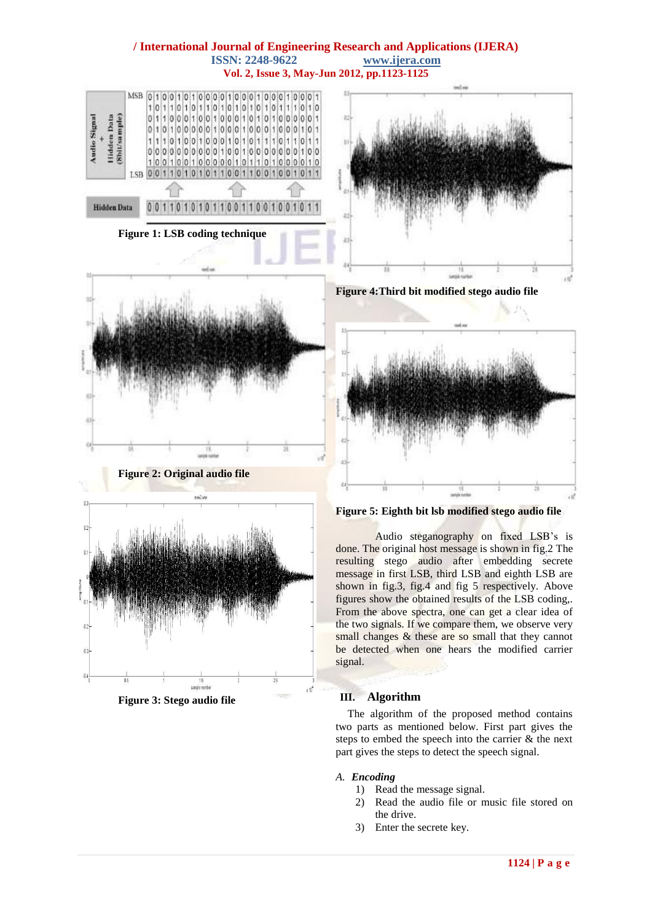

**Figure 3: Stego audio file**

*A. Encoding*

2) Read the audio file or music file stored on the drive.

The algorithm of the proposed method contains two parts as mentioned below. First part gives the steps to embed the speech into the carrier & the next part gives the steps to detect the speech signal.

3) Enter the secrete key.

1) Read the message signal.